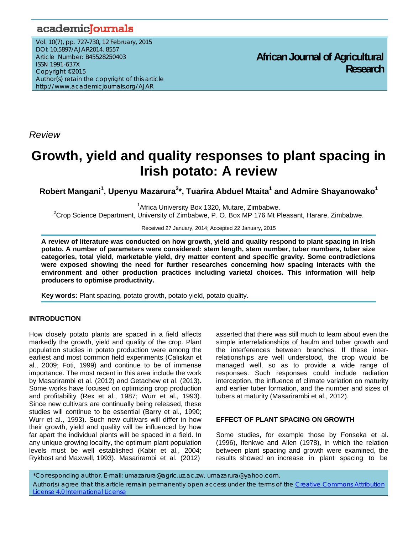# academicJournals

Vol. 10(7), pp. 727-730, 12 February, 2015 DOI: 10.5897/AJAR2014. 8557 Article Number: B45528250403 ISSN 1991-637X Copyright ©2015 Author(s) retain the copyright of this article http://www.academicjournals.org/AJAR

**African Journal of Agricultural Research**

*Review* 

# **Growth, yield and quality responses to plant spacing in Irish potato: A review**

 $R$ obert Mangani<sup>1</sup>, Upenyu Mazarura<sup>2</sup>\*, Tuarira Abduel Mtaita<sup>1</sup> and Admire Shayanowako<sup>1</sup>

<sup>1</sup> Africa University Box 1320, Mutare, Zimbabwe.<br><sup>2</sup> Crep Sejense Penertment, University of Zimbobye, B. O. Boy MB 176 Mt Bl.

 $2C$ rop Science Department, University of Zimbabwe, P. O. Box MP 176 Mt Pleasant, Harare, Zimbabwe.

Received 27 January, 2014; Accepted 22 January, 2015

**A review of literature was conducted on how growth, yield and quality respond to plant spacing in Irish potato. A number of parameters were considered: stem length, stem number, tuber numbers, tuber size categories, total yield, marketable yield, dry matter content and specific gravity. Some contradictions were exposed showing the need for further researches concerning how spacing interacts with the environment and other production practices including varietal choices. This information will help producers to optimise productivity.** 

**Key words:** Plant spacing, potato growth, potato yield, potato quality.

# **INTRODUCTION**

How closely potato plants are spaced in a field affects markedly the growth, yield and quality of the crop. Plant population studies in potato production were among the earliest and most common field experiments (Caliskan et al., 2009; Foti, 1999) and continue to be of immense importance. The most recent in this area include the work by Masarirambi et al. (2012) and Getachew et al. (2013). Some works have focused on optimizing crop production and profitability (Rex et al., 1987; Wurr et al., 1993). Since new cultivars are continually being released, these studies will continue to be essential (Barry et al., 1990; Wurr et al., 1993). Such new cultivars will differ in how their growth, yield and quality will be influenced by how far apart the individual plants will be spaced in a field. In any unique growing locality, the optimum plant population levels must be well established (Kabir et al., 2004; Rykbost and Maxwell, 1993). Masarirambi et al. (2012)

asserted that there was still much to learn about even the simple interrelationships of haulm and tuber growth and the interferences between branches. If these interrelationships are well understood, the crop would be managed well, so as to provide a wide range of responses. Such responses could include radiation interception, the influence of climate variation on maturity and earlier tuber formation, and the number and sizes of tubers at maturity (Masarirambi et al., 2012).

# **EFFECT OF PLANT SPACING ON GROWTH**

Some studies, for example those by Fonseka et al. (1996), Ifenkwe and Allen (1978), in which the relation between plant spacing and growth were examined, the results showed an increase in plant spacing to be

\*Corresponding author. E-mail: umazarura@agric.uz.ac.zw, umazarura@yahoo.com. Author(s) agree that this article remain permanently open access under the terms of the Creative Commons Attribution License 4.0 International License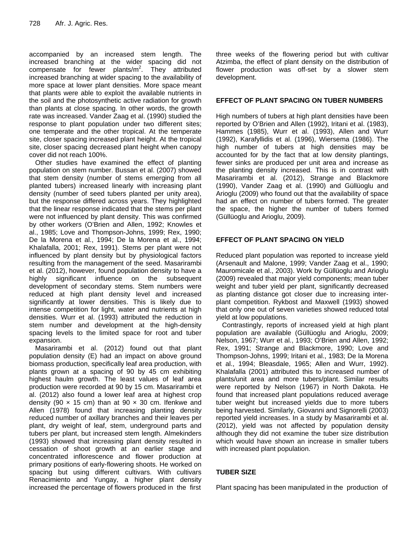accompanied by an increased stem length. The increased branching at the wider spacing did not compensate for fewer plants/ $m^2$ . They attributed increased branching at wider spacing to the availability of more space at lower plant densities. More space meant that plants were able to exploit the available nutrients in the soil and the photosynthetic active radiation for growth than plants at close spacing. In other words, the growth rate was increased. Vander Zaag et al. (1990) studied the response to plant population under two different sites; one temperate and the other tropical. At the temperate site, closer spacing increased plant height. At the tropical site, closer spacing decreased plant height when canopy cover did not reach 100%.

Other studies have examined the effect of planting population on stem number. Bussan et al. (2007) showed that stem density (number of stems emerging from all planted tubers) increased linearly with increasing plant density (number of seed tubers planted per unity area), but the response differed across years. They highlighted that the linear response indicated that the stems per plant were not influenced by plant density. This was confirmed by other workers (O'Brien and Allen, 1992; Knowles et al., 1985; Love and Thompson-Johns, 1999; Rex, 1990; De la Morena et al., 1994; De la Morena et al., 1994; Khalafalla, 2001; Rex, 1991). Stems per plant were not influenced by plant density but by physiological factors resulting from the management of the seed. Masarirambi et al. (2012), however, found population density to have a highly significant influence on the subsequent development of secondary stems. Stem numbers were reduced at high plant density level and increased significantly at lower densities. This is likely due to intense competition for light, water and nutrients at high densities. Wurr et al. (1993) attributed the reduction in stem number and development at the high-density spacing levels to the limited space for root and tuber expansion.

Masarirambi et al. (2012) found out that plant population density (E) had an impact on above ground biomass production, specifically leaf area production, with plants grown at a spacing of 90 by 45 cm exhibiting highest haulm growth. The least values of leaf area production were recorded at 90 by 15 cm. Masarirambi et al. (2012) also found a lower leaf area at highest crop density (90  $\times$  15 cm) than at 90  $\times$  30 cm. Ifenkwe and Allen (1978) found that increasing planting density reduced number of axillary branches and their leaves per plant, dry weight of leaf, stem, underground parts and tubers per plant, but increased stem length. Almekinders (1993) showed that increasing plant density resulted in cessation of shoot growth at an earlier stage and concentrated inflorescence and flower production at primary positions of early-flowering shoots. He worked on spacing but using different cultivars. With cultivars Renacimiento and Yungay, a higher plant density increased the percentage of flowers produced in the first

three weeks of the flowering period but with cultivar Atzimba, the effect of plant density on the distribution of flower production was off-set by a slower stem development.

# **EFFECT OF PLANT SPACING ON TUBER NUMBERS**

High numbers of tubers at high plant densities have been reported by O'Brien and Allen (1992), Iritani et al. (1983), Hammes (1985), Wurr et al. (1993), Allen and Wurr (1992), Karafyllidis et al. (1996), Wiersema (1986). The high number of tubers at high densities may be accounted for by the fact that at low density plantings, fewer sinks are produced per unit area and increase as the planting density increased. This is in contrast with Masarirambi et al. (2012), Strange and Blackmore (1990), Vander Zaag et al. (1990) and Güllüoglu and Arioglu (2009) who found out that the availability of space had an effect on number of tubers formed. The greater the space, the higher the number of tubers formed (Güllüoglu and Arioglu, 2009).

# **EFFECT OF PLANT SPACING ON YIELD**

Reduced plant population was reported to increase yield (Arsenault and Malone, 1999; Vander Zaag et al., 1990; Mauromicale et al., 2003). Work by Güllüoglu and Arioglu (2009) revealed that major yield components; mean tuber weight and tuber yield per plant, significantly decreased as planting distance got closer due to increasing interplant competition. Rykbost and Maxwell (1993) showed that only one out of seven varieties showed reduced total yield at low populations.

Contrastingly, reports of increased yield at high plant population are available (Güllüoglu and Arioglu, 2009; Nelson, 1967; Wurr et al., 1993; O'Brien and Allen, 1992; Rex, 1991; Strange and Blackmore, 1990; Love and Thompson-Johns, 1999; Iritani et al., 1983; De la Morena et al., 1994; Bleasdale, 1965; Allen and Wurr, 1992). Khalafalla (2001) attributed this to increased number of plants/unit area and more tubers/plant. Similar results were reported by Nelson (1967) in North Dakota. He found that increased plant populations reduced average tuber weight but increased yields due to more tubers being harvested. Similarly, Giovanni and Signorelli (2003) reported yield increases. In a study by Masarirambi et al. (2012), yield was not affected by population density although they did not examine the tuber size distribution which would have shown an increase in smaller tubers with increased plant population.

# **TUBER SIZE**

Plant spacing has been manipulated in the production of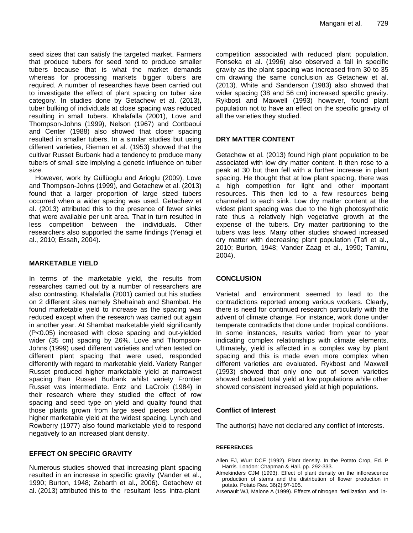seed sizes that can satisfy the targeted market. Farmers that produce tubers for seed tend to produce smaller tubers because that is what the market demands whereas for processing markets bigger tubers are required. A number of researches have been carried out to investigate the effect of plant spacing on tuber size category. In studies done by Getachew et al. (2013), tuber bulking of individuals at close spacing was reduced resulting in small tubers. Khalafalla (2001), Love and Thompson-Johns (1999), Nelson (1967) and Cortbaoui and Center (1988) also showed that closer spacing resulted in smaller tubers. In a similar studies but using different varieties, Rieman et al. (1953) showed that the cultivar Russet Burbank had a tendency to produce many tubers of small size implying a genetic influence on tuber size.

However, work by Güllüoglu and Arioglu (2009), Love and Thompson-Johns (1999), and Getachew et al. (2013) found that a larger proportion of large sized tubers occurred when a wider spacing was used. Getachew et al. (2013) attributed this to the presence of fewer sinks that were available per unit area. That in turn resulted in less competition between the individuals. Other researchers also supported the same findings (Yenagi et al., 2010; Essah, 2004).

# **MARKETABLE YIELD**

In terms of the marketable yield, the results from researches carried out by a number of researchers are also contrasting. Khalafalla (2001) carried out his studies on 2 different sites namely Shehainab and Shambat. He found marketable yield to increase as the spacing was reduced except when the research was carried out again in another year. At Shambat marketable yield significantly (P<0.05) increased with close spacing and out-yielded wider (35 cm) spacing by 26%. Love and Thompson-Johns (1999) used different varieties and when tested on different plant spacing that were used, responded differently with regard to marketable yield. Variety Ranger Russet produced higher marketable yield at narrowest spacing than Russet Burbank whilst variety Frontier Russet was intermediate. Entz and LaCroix (1984) in their research where they studied the effect of row spacing and seed type on yield and quality found that those plants grown from large seed pieces produced higher marketable yield at the widest spacing. Lynch and Rowberry (1977) also found marketable yield to respond negatively to an increased plant density.

# **EFFECT ON SPECIFIC GRAVITY**

Numerous studies showed that increasing plant spacing resulted in an increase in specific gravity (Vander et al., 1990; Burton, 1948; Zebarth et al., 2006). Getachew et al. (2013) attributed this to the resultant less intra-plant

competition associated with reduced plant population. Fonseka et al. (1996) also observed a fall in specific gravity as the plant spacing was increased from 30 to 35 cm drawing the same conclusion as Getachew et al. (2013). White and Sanderson (1983) also showed that wider spacing (38 and 56 cm) increased specific gravity. Rykbost and Maxwell (1993) however, found plant population not to have an effect on the specific gravity of all the varieties they studied.

# **DRY MATTER CONTENT**

Getachew et al. (2013) found high plant population to be associated with low dry matter content. It then rose to a peak at 30 but then fell with a further increase in plant spacing. He thought that at low plant spacing, there was a high competition for light and other important resources. This then led to a few resources being channeled to each sink. Low dry matter content at the widest plant spacing was due to the high photosynthetic rate thus a relatively high vegetative growth at the expense of the tubers. Dry matter partitioning to the tubers was less. Many other studies showed increased dry matter with decreasing plant population (Tafi et al., 2010; Burton, 1948; Vander Zaag et al., 1990; Tamiru, 2004).

# **CONCLUSION**

Varietal and environment seemed to lead to the contradictions reported among various workers. Clearly, there is need for continued research particularly with the advent of climate change. For instance, work done under temperate contradicts that done under tropical conditions. In some instances, results varied from year to year indicating complex relationships with climate elements. Ultimately, yield is affected in a complex way by plant spacing and this is made even more complex when different varieties are evaluated. Rykbost and Maxwell (1993) showed that only one out of seven varieties showed reduced total yield at low populations while other showed consistent increased yield at high populations.

# **Conflict of Interest**

The author(s) have not declared any conflict of interests.

#### **REFERENCES**

- Allen EJ, Wurr DCE (1992). Plant density. In the Potato Crop, Ed. P Harris. London: Chapman & Hall. pp. 292-333.
- Almekinders CJM (1993). Effect of plant density on the inflorescence production of stems and the distribution of flower production in potato. Potato Res. 36(2):97-105.
- Arsenault WJ, Malone A (1999). Effects of nitrogen fertilization and in-